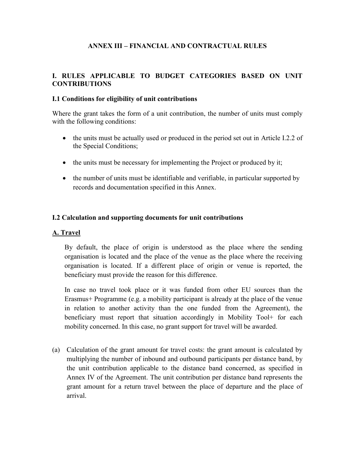### **ANNEX III – FINANCIAL AND CONTRACTUAL RULES**

#### **I. RULES APPLICABLE TO BUDGET CATEGORIES BASED ON UNIT CONTRIBUTIONS**

#### **I.1 Conditions for eligibility of unit contributions**

Where the grant takes the form of a unit contribution, the number of units must comply with the following conditions:

- the units must be actually used or produced in the period set out in Article I.2.2 of the Special Conditions;
- the units must be necessary for implementing the Project or produced by it;
- the number of units must be identifiable and verifiable, in particular supported by records and documentation specified in this Annex.

#### **I.2 Calculation and supporting documents for unit contributions**

#### **A. Travel**

By default, the place of origin is understood as the place where the sending organisation is located and the place of the venue as the place where the receiving organisation is located. If a different place of origin or venue is reported, the beneficiary must provide the reason for this difference.

In case no travel took place or it was funded from other EU sources than the Erasmus+ Programme (e.g. a mobility participant is already at the place of the venue in relation to another activity than the one funded from the Agreement), the beneficiary must report that situation accordingly in Mobility Tool+ for each mobility concerned. In this case, no grant support for travel will be awarded.

(a) Calculation of the grant amount for travel costs: the grant amount is calculated by multiplying the number of inbound and outbound participants per distance band, by the unit contribution applicable to the distance band concerned, as specified in Annex IV of the Agreement. The unit contribution per distance band represents the grant amount for a return travel between the place of departure and the place of arrival.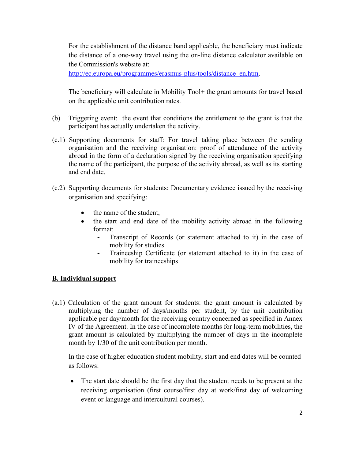For the establishment of the distance band applicable, the beneficiary must indicate the distance of a one-way travel using the on-line distance calculator available on the Commission's website at:

[http://ec.europa.eu/programmes/erasmus-plus/tools/distance\\_en.htm.](http://ec.europa.eu/programmes/erasmus-plus/tools/distance_en.htm)

The beneficiary will calculate in Mobility Tool+ the grant amounts for travel based on the applicable unit contribution rates.

- (b) Triggering event: the event that conditions the entitlement to the grant is that the participant has actually undertaken the activity.
- (c.1) Supporting documents for staff: For travel taking place between the sending organisation and the receiving organisation: proof of attendance of the activity abroad in the form of a declaration signed by the receiving organisation specifying the name of the participant, the purpose of the activity abroad, as well as its starting and end date.
- (c.2) Supporting documents for students: Documentary evidence issued by the receiving organisation and specifying:
	- the name of the student,
	- the start and end date of the mobility activity abroad in the following format:
		- Transcript of Records (or statement attached to it) in the case of mobility for studies
		- Traineeship Certificate (or statement attached to it) in the case of mobility for traineeships

### **B. Individual support**

(a.1) Calculation of the grant amount for students: the grant amount is calculated by multiplying the number of days/months per student, by the unit contribution applicable per day/month for the receiving country concerned as specified in Annex IV of the Agreement. In the case of incomplete months for long-term mobilities, the grant amount is calculated by multiplying the number of days in the incomplete month by 1/30 of the unit contribution per month.

In the case of higher education student mobility, start and end dates will be counted as follows:

• The start date should be the first day that the student needs to be present at the receiving organisation (first course/first day at work/first day of welcoming event or language and intercultural courses).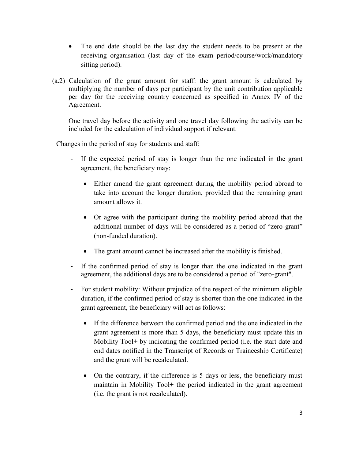- The end date should be the last day the student needs to be present at the receiving organisation (last day of the exam period/course/work/mandatory sitting period).
- (a.2) Calculation of the grant amount for staff: the grant amount is calculated by multiplying the number of days per participant by the unit contribution applicable per day for the receiving country concerned as specified in Annex IV of the Agreement.

One travel day before the activity and one travel day following the activity can be included for the calculation of individual support if relevant.

Changes in the period of stay for students and staff:

- If the expected period of stay is longer than the one indicated in the grant agreement, the beneficiary may:
	- Either amend the grant agreement during the mobility period abroad to take into account the longer duration, provided that the remaining grant amount allows it.
	- Or agree with the participant during the mobility period abroad that the additional number of days will be considered as a period of "zero-grant" (non-funded duration).
	- The grant amount cannot be increased after the mobility is finished.
- If the confirmed period of stay is longer than the one indicated in the grant agreement, the additional days are to be considered a period of "zero-grant".
- For student mobility: Without prejudice of the respect of the minimum eligible duration, if the confirmed period of stay is shorter than the one indicated in the grant agreement, the beneficiary will act as follows:
	- If the difference between the confirmed period and the one indicated in the grant agreement is more than 5 days, the beneficiary must update this in Mobility Tool+ by indicating the confirmed period (i.e. the start date and end dates notified in the Transcript of Records or Traineeship Certificate) and the grant will be recalculated.
	- On the contrary, if the difference is 5 days or less, the beneficiary must maintain in Mobility Tool+ the period indicated in the grant agreement (i.e. the grant is not recalculated).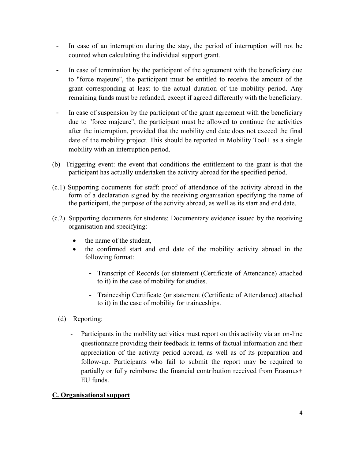- In case of an interruption during the stay, the period of interruption will not be counted when calculating the individual support grant.
- In case of termination by the participant of the agreement with the beneficiary due to "force majeure", the participant must be entitled to receive the amount of the grant corresponding at least to the actual duration of the mobility period. Any remaining funds must be refunded, except if agreed differently with the beneficiary.
- In case of suspension by the participant of the grant agreement with the beneficiary due to "force majeure", the participant must be allowed to continue the activities after the interruption, provided that the mobility end date does not exceed the final date of the mobility project. This should be reported in Mobility Tool+ as a single mobility with an interruption period.
- (b) Triggering event: the event that conditions the entitlement to the grant is that the participant has actually undertaken the activity abroad for the specified period.
- (c.1) Supporting documents for staff: proof of attendance of the activity abroad in the form of a declaration signed by the receiving organisation specifying the name of the participant, the purpose of the activity abroad, as well as its start and end date.
- (c.2) Supporting documents for students: Documentary evidence issued by the receiving organisation and specifying:
	- the name of the student,
	- the confirmed start and end date of the mobility activity abroad in the following format:
		- Transcript of Records (or statement (Certificate of Attendance) attached to it) in the case of mobility for studies.
		- Traineeship Certificate (or statement (Certificate of Attendance) attached to it) in the case of mobility for traineeships.
	- (d) Reporting:
		- Participants in the mobility activities must report on this activity via an on-line questionnaire providing their feedback in terms of factual information and their appreciation of the activity period abroad, as well as of its preparation and follow-up. Participants who fail to submit the report may be required to partially or fully reimburse the financial contribution received from Erasmus+ EU funds.

### **C. Organisational support**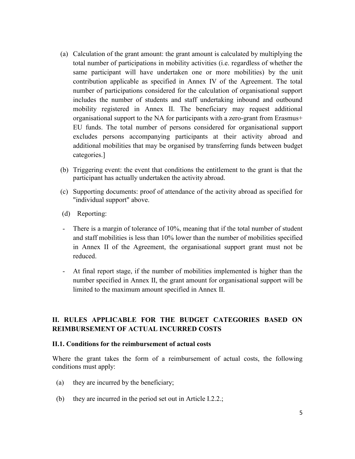- (a) Calculation of the grant amount: the grant amount is calculated by multiplying the total number of participations in mobility activities (i.e. regardless of whether the same participant will have undertaken one or more mobilities) by the unit contribution applicable as specified in Annex IV of the Agreement. The total number of participations considered for the calculation of organisational support includes the number of students and staff undertaking inbound and outbound mobility registered in Annex II. The beneficiary may request additional organisational support to the NA for participants with a zero-grant from Erasmus+ EU funds. The total number of persons considered for organisational support excludes persons accompanying participants at their activity abroad and additional mobilities that may be organised by transferring funds between budget categories.]
- (b) Triggering event: the event that conditions the entitlement to the grant is that the participant has actually undertaken the activity abroad.
- (c) Supporting documents: proof of attendance of the activity abroad as specified for "individual support" above.
- (d) Reporting:
- There is a margin of tolerance of 10%, meaning that if the total number of student and staff mobilities is less than 10% lower than the number of mobilities specified in Annex II of the Agreement, the organisational support grant must not be reduced.
- At final report stage, if the number of mobilities implemented is higher than the number specified in Annex II, the grant amount for organisational support will be limited to the maximum amount specified in Annex II.

### **II. RULES APPLICABLE FOR THE BUDGET CATEGORIES BASED ON REIMBURSEMENT OF ACTUAL INCURRED COSTS**

#### **II.1. Conditions for the reimbursement of actual costs**

Where the grant takes the form of a reimbursement of actual costs, the following conditions must apply:

- (a) they are incurred by the beneficiary;
- (b) they are incurred in the period set out in Article I.2.2.;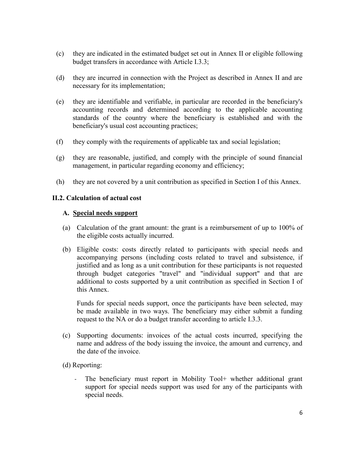- (c) they are indicated in the estimated budget set out in Annex II or eligible following budget transfers in accordance with Article I.3.3;
- (d) they are incurred in connection with the Project as described in Annex II and are necessary for its implementation;
- (e) they are identifiable and verifiable, in particular are recorded in the beneficiary's accounting records and determined according to the applicable accounting standards of the country where the beneficiary is established and with the beneficiary's usual cost accounting practices;
- (f) they comply with the requirements of applicable tax and social legislation;
- (g) they are reasonable, justified, and comply with the principle of sound financial management, in particular regarding economy and efficiency;
- (h) they are not covered by a unit contribution as specified in Section I of this Annex.

#### **II.2. Calculation of actual cost**

#### **A. Special needs support**

- (a) Calculation of the grant amount: the grant is a reimbursement of up to 100% of the eligible costs actually incurred.
- (b) Eligible costs: costs directly related to participants with special needs and accompanying persons (including costs related to travel and subsistence, if justified and as long as a unit contribution for these participants is not requested through budget categories "travel" and "individual support" and that are additional to costs supported by a unit contribution as specified in Section I of this Annex.

Funds for special needs support, once the participants have been selected, may be made available in two ways. The beneficiary may either submit a funding request to the NA or do a budget transfer according to article I.3.3.

- (c) Supporting documents: invoices of the actual costs incurred, specifying the name and address of the body issuing the invoice, the amount and currency, and the date of the invoice.
- (d) Reporting:
	- The beneficiary must report in Mobility Tool+ whether additional grant support for special needs support was used for any of the participants with special needs.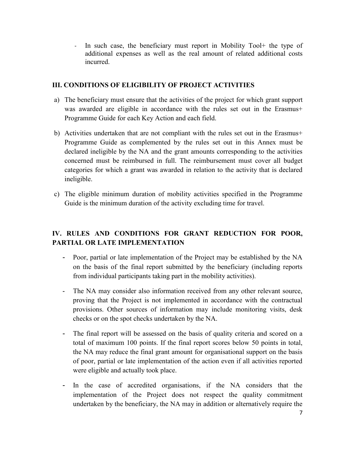- In such case, the beneficiary must report in Mobility Tool+ the type of additional expenses as well as the real amount of related additional costs incurred.

#### **III. CONDITIONS OF ELIGIBILITY OF PROJECT ACTIVITIES**

- a) The beneficiary must ensure that the activities of the project for which grant support was awarded are eligible in accordance with the rules set out in the Erasmus+ Programme Guide for each Key Action and each field.
- b) Activities undertaken that are not compliant with the rules set out in the Erasmus+ Programme Guide as complemented by the rules set out in this Annex must be declared ineligible by the NA and the grant amounts corresponding to the activities concerned must be reimbursed in full. The reimbursement must cover all budget categories for which a grant was awarded in relation to the activity that is declared ineligible.
- c) The eligible minimum duration of mobility activities specified in the Programme Guide is the minimum duration of the activity excluding time for travel.

# **IV. RULES AND CONDITIONS FOR GRANT REDUCTION FOR POOR, PARTIAL OR LATE IMPLEMENTATION**

- Poor, partial or late implementation of the Project may be established by the NA on the basis of the final report submitted by the beneficiary (including reports from individual participants taking part in the mobility activities).
- The NA may consider also information received from any other relevant source, proving that the Project is not implemented in accordance with the contractual provisions. Other sources of information may include monitoring visits, desk checks or on the spot checks undertaken by the NA.
- The final report will be assessed on the basis of quality criteria and scored on a total of maximum 100 points. If the final report scores below 50 points in total, the NA may reduce the final grant amount for organisational support on the basis of poor, partial or late implementation of the action even if all activities reported were eligible and actually took place.
- In the case of accredited organisations, if the NA considers that the implementation of the Project does not respect the quality commitment undertaken by the beneficiary, the NA may in addition or alternatively require the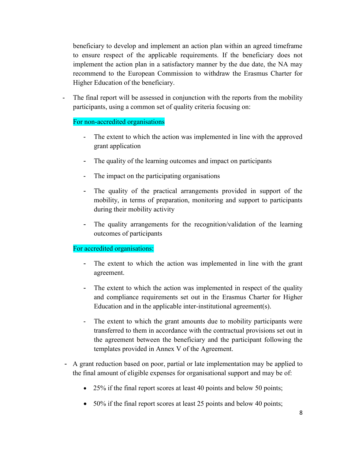beneficiary to develop and implement an action plan within an agreed timeframe to ensure respect of the applicable requirements. If the beneficiary does not implement the action plan in a satisfactory manner by the due date, the NA may recommend to the European Commission to withdraw the Erasmus Charter for Higher Education of the beneficiary.

The final report will be assessed in conjunction with the reports from the mobility participants, using a common set of quality criteria focusing on:

### For non-accredited organisations

- The extent to which the action was implemented in line with the approved grant application
- The quality of the learning outcomes and impact on participants
- The impact on the participating organisations
- The quality of the practical arrangements provided in support of the mobility, in terms of preparation, monitoring and support to participants during their mobility activity
- The quality arrangements for the recognition/validation of the learning outcomes of participants

### For accredited organisations:

- The extent to which the action was implemented in line with the grant agreement.
- The extent to which the action was implemented in respect of the quality and compliance requirements set out in the Erasmus Charter for Higher Education and in the applicable inter-institutional agreement(s).
- The extent to which the grant amounts due to mobility participants were transferred to them in accordance with the contractual provisions set out in the agreement between the beneficiary and the participant following the templates provided in Annex V of the Agreement.
- A grant reduction based on poor, partial or late implementation may be applied to the final amount of eligible expenses for organisational support and may be of:
	- 25% if the final report scores at least 40 points and below 50 points;
	- 50% if the final report scores at least 25 points and below 40 points;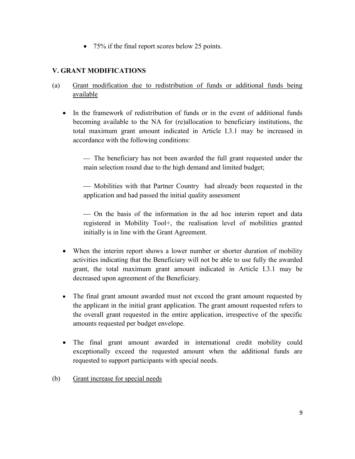75% if the final report scores below 25 points.

# **V. GRANT MODIFICATIONS**

- (a) Grant modification due to redistribution of funds or additional funds being available
	- In the framework of redistribution of funds or in the event of additional funds becoming available to the NA for (re)allocation to beneficiary institutions, the total maximum grant amount indicated in Article I.3.1 may be increased in accordance with the following conditions:

 The beneficiary has not been awarded the full grant requested under the main selection round due to the high demand and limited budget;

 Mobilities with that Partner Country had already been requested in the application and had passed the initial quality assessment

 On the basis of the information in the ad hoc interim report and data registered in Mobility Tool+, the realisation level of mobilities granted initially is in line with the Grant Agreement.

- When the interim report shows a lower number or shorter duration of mobility activities indicating that the Beneficiary will not be able to use fully the awarded grant, the total maximum grant amount indicated in Article I.3.1 may be decreased upon agreement of the Beneficiary.
- The final grant amount awarded must not exceed the grant amount requested by the applicant in the initial grant application. The grant amount requested refers to the overall grant requested in the entire application, irrespective of the specific amounts requested per budget envelope.
- The final grant amount awarded in international credit mobility could exceptionally exceed the requested amount when the additional funds are requested to support participants with special needs.
- (b) Grant increase for special needs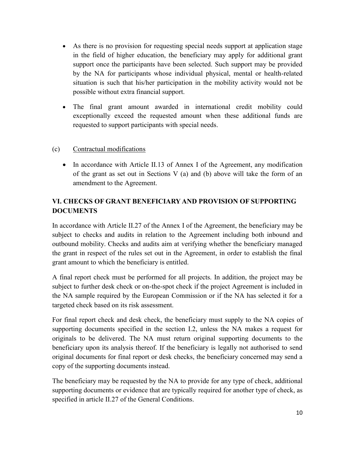- As there is no provision for requesting special needs support at application stage in the field of higher education, the beneficiary may apply for additional grant support once the participants have been selected. Such support may be provided by the NA for participants whose individual physical, mental or health-related situation is such that his/her participation in the mobility activity would not be possible without extra financial support.
- The final grant amount awarded in international credit mobility could exceptionally exceed the requested amount when these additional funds are requested to support participants with special needs.

### (c) Contractual modifications

• In accordance with Article II.13 of Annex I of the Agreement, any modification of the grant as set out in Sections V (a) and (b) above will take the form of an amendment to the Agreement.

# **VI. CHECKS OF GRANT BENEFICIARY AND PROVISION OF SUPPORTING DOCUMENTS**

In accordance with Article II.27 of the Annex I of the Agreement, the beneficiary may be subject to checks and audits in relation to the Agreement including both inbound and outbound mobility. Checks and audits aim at verifying whether the beneficiary managed the grant in respect of the rules set out in the Agreement, in order to establish the final grant amount to which the beneficiary is entitled.

A final report check must be performed for all projects. In addition, the project may be subject to further desk check or on-the-spot check if the project Agreement is included in the NA sample required by the European Commission or if the NA has selected it for a targeted check based on its risk assessment.

For final report check and desk check, the beneficiary must supply to the NA copies of supporting documents specified in the section I.2, unless the NA makes a request for originals to be delivered. The NA must return original supporting documents to the beneficiary upon its analysis thereof. If the beneficiary is legally not authorised to send original documents for final report or desk checks, the beneficiary concerned may send a copy of the supporting documents instead.

The beneficiary may be requested by the NA to provide for any type of check, additional supporting documents or evidence that are typically required for another type of check, as specified in article II.27 of the General Conditions.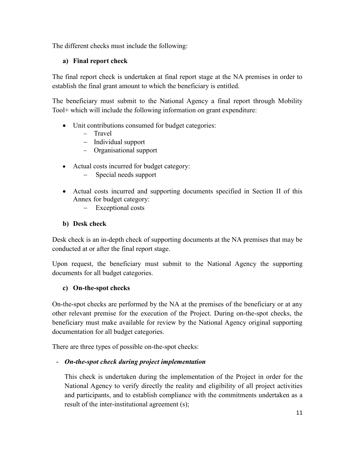The different checks must include the following:

# **a) Final report check**

The final report check is undertaken at final report stage at the NA premises in order to establish the final grant amount to which the beneficiary is entitled.

The beneficiary must submit to the National Agency a final report through Mobility Tool+ which will include the following information on grant expenditure:

- Unit contributions consumed for budget categories:
	- Travel
	- Individual support
	- Organisational support
- Actual costs incurred for budget category:
	- Special needs support
- Actual costs incurred and supporting documents specified in Section II of this Annex for budget category:
	- Exceptional costs

# **b) Desk check**

Desk check is an in-depth check of supporting documents at the NA premises that may be conducted at or after the final report stage.

Upon request, the beneficiary must submit to the National Agency the supporting documents for all budget categories.

# **c) On-the-spot checks**

On-the-spot checks are performed by the NA at the premises of the beneficiary or at any other relevant premise for the execution of the Project. During on-the-spot checks, the beneficiary must make available for review by the National Agency original supporting documentation for all budget categories.

There are three types of possible on-the-spot checks:

# - *On-the-spot check during project implementation*

This check is undertaken during the implementation of the Project in order for the National Agency to verify directly the reality and eligibility of all project activities and participants, and to establish compliance with the commitments undertaken as a result of the inter-institutional agreement (s);